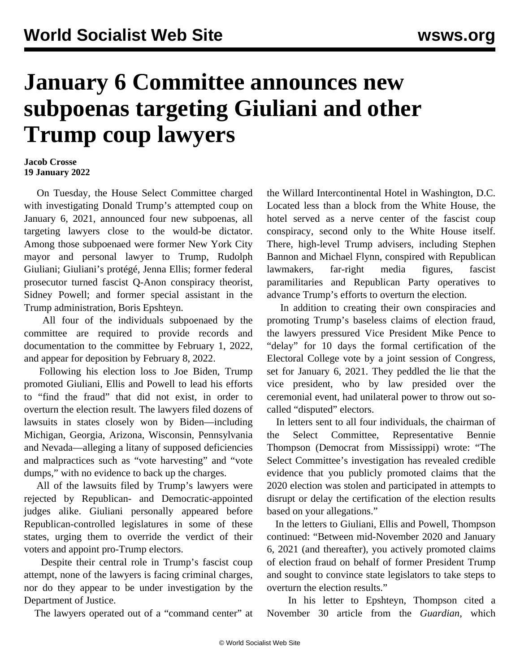## **January 6 Committee announces new subpoenas targeting Giuliani and other Trump coup lawyers**

## **Jacob Crosse 19 January 2022**

 On Tuesday, the House Select Committee charged with investigating Donald Trump's attempted coup on January 6, 2021, announced four new subpoenas, all targeting lawyers close to the would-be dictator. Among those subpoenaed were former New York City mayor and personal lawyer to Trump, Rudolph Giuliani; Giuliani's protégé, Jenna Ellis; former federal prosecutor turned fascist Q-Anon conspiracy theorist, Sidney Powell; and former special assistant in the Trump administration, Boris Epshteyn.

 All four of the individuals subpoenaed by the committee are required to provide records and documentation to the committee by February 1, 2022, and appear for deposition by February 8, 2022.

 Following his election loss to Joe Biden, Trump promoted Giuliani, Ellis and Powell to lead his efforts to "find the fraud" that did not exist, in order to overturn the election result. The lawyers filed dozens of lawsuits in states closely won by Biden—including Michigan, Georgia, Arizona, Wisconsin, Pennsylvania and Nevada—alleging a litany of supposed deficiencies and malpractices such as "vote harvesting" and "vote dumps," with no evidence to back up the charges.

 All of the lawsuits filed by Trump's lawyers were rejected by Republican- and Democratic-appointed judges alike. Giuliani personally appeared before Republican-controlled legislatures in some of these states, urging them to override the verdict of their voters and appoint pro-Trump electors.

 Despite their central role in Trump's fascist coup attempt, none of the lawyers is facing criminal charges, nor do they appear to be under investigation by the Department of Justice.

The lawyers operated out of a "command center" at

the [Willard Intercontinental Hotel](/en/articles/2021/10/26/will-o26.html) in Washington, D.C. Located less than a block from the White House, the hotel served as a nerve center of the fascist coup conspiracy, second only to the White House itself. There, high-level Trump advisers, including Stephen Bannon and Michael Flynn, conspired with Republican lawmakers, far-right media figures, fascist paramilitaries and Republican Party operatives to advance Trump's efforts to overturn the election.

 In addition to creating their own conspiracies and promoting Trump's baseless claims of election fraud, the lawyers pressured Vice President Mike Pence to "delay" for 10 days the formal certification of the Electoral College vote by a joint session of Congress, set for January 6, 2021. They peddled the lie that the vice president, who by law presided over the ceremonial event, had unilateral power to throw out socalled "disputed" electors.

 In letters sent to all four individuals, the chairman of the Select Committee, Representative Bennie Thompson (Democrat from Mississippi) wrote: "The Select Committee's investigation has revealed credible evidence that you publicly promoted claims that the 2020 election was stolen and participated in attempts to disrupt or delay the certification of the election results based on your allegations."

 In the letters to Giuliani, Ellis and Powell, Thompson continued: "Between mid-November 2020 and January 6, 2021 (and thereafter), you actively promoted claims of election fraud on behalf of former President Trump and sought to convince state legislators to take steps to overturn the election results."

 In his letter to Epshteyn, Thompson cited a November 30 article from the *Guardian*, which